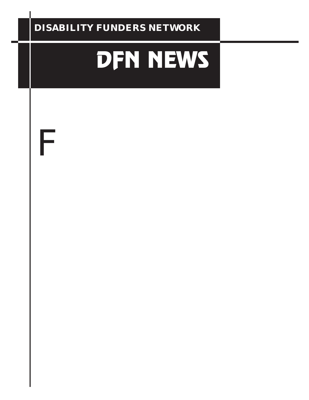#### **DISABILITY FUNDERS NETWORK**

# DFN NEWS

A bridge between the disability community and organized philanthropy

### The Spirit of the ADA: DFN Members Join National Celebrations of the Americans with Disabilities Act Tenth Anniversary

# **Fisco**

Disabilities Education Act (IDEA).

 Local celebrations in 24 cities marked the cross-country journey of the Spirit of the ADA Torch, which was first lit in Alaska 10 years ago. The flame was rekindled for the anniversary celebrations and carried across the country to build the spirit of connection among America's 54 million people with disabilities and to encourage them to "renew the pledge" to the promise of equal access to the American dream inherent in the ADA and IDEA.

 One of DFN's newest members, the American Association of People with Disabilities

#### INSIDE

- 2 California Projects In Full Swing
- 2 DFN Welcomes New Chair
- 3 The Director's Corner
- 4 The Spirit of the ADA: Torch Relay Highlights<br>5 President Clinton's Digital Divide Initiatives
- 5 President Clinton's Digital Divide Initiatives<br>5 Sharina the Wealth Summit
- 5 Sharing the Wealth Summit<br>6 Workshops in Barriers to W
- 6 Workshops in Barriers to Work & Healthcare
- 6 Survey on Communication Gaps<br>7 New Members & Profile
- 7 New Members & Profile
- 8 Conferences & Meetings
- 8 Announcements
- 9 Resources



(AAPD), was the national host organization for the relay. A national membership organization created by and for people with all types of disabilities, AAPD promotes political and economic empowerment -- goals

> that were central to the message the Spirit of the ADA Torch Relay carried across America.

 The Torch was lit in Atlanta on June 7 from the eternal flame on the grave of Dr. Martin Luther King, Jr.- a poignant reminder of the historical links between the disability community and its predecessors. In a speech at the lighting ceremony, Andrew Imparato, AAPD's President and CEO, drove home the historical links, pointing out that "the disability rights movement modeled itself on the successes, vision and passion of the civil rights movement."

 "All of us, both here in America and around the world, have benefited from the achievements and contributions of people with disabilities," he said. "The Spirit of the ADA Torch Relay gives us all the opportu-

the past 10 years and renew our commitment to an America that works for everyone."

 Volkswagen of America, which contributed \$500,000 and provided a van and equipment for the relay, was the primary national sponsor. Other national sponsors were AccessLife.com, Continental Airlines, Microsoft, The Presidential Task Force on Employment of Adults with Disabilities, The President's Committee on Employment of People with Disabilities and Shepherd Center.

*Relay Hightlights on page 4*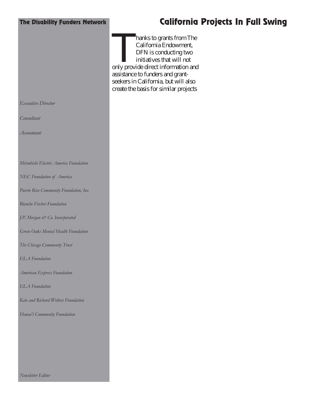#### The Disability Funders Network

#### California Projects In Full Swing

hanks to grants from The California Endowment,  $\overline{D}$ FN is conducting two M initiatives that will not only provide direct information and assistance to funders and grantseekers in California, but will also create the basis for similar projects

*Executive Director*

*Consultant*

*Accountant*

*Mitsubishi Electric America Foundation*

*NEC Foundation of America*

*Puerto Rico Community Foundation, Inc.*

*Blanche Fischer Foundation*

*J.P. Morgan & Co. Incorporated*

*Green Oaks Mental Health Foundation*

*The Chicago Community Trust*

*ELA Foundation*

*American Express Foundation*

*ELA Foundation*

*Kate and Richard Wolters Foundation*

*Hawai'i Community Foundation*

*Newsletter Editor*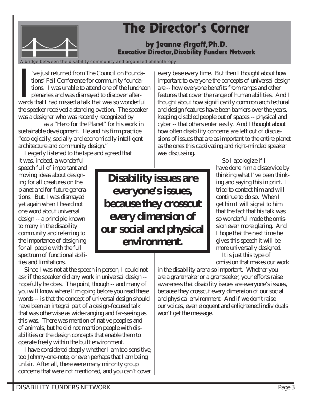# **The Director's Corner**

#### by Jeanne Argoff, Ph.D. Executive Director, Disability Funders Network

A bridge between the disability community and organized philanthropy

A bri 've just returned from The Council on Foundations' Fall Conference for community foundations. I was unable to attend one of the luncheon plenaries and was dismayed to discover afterwards that I had missed a talk that was so wonderful the speaker received a standing ovation. The speaker was a designer who was recently recognized by

*Magazine* as a "Hero for the Planet" for his work in sustainable development. He and his firm practice "ecologically, socially and economically intelligent architecture and community design."

I eagerly listened to the tape and agreed that

it was, indeed, a wonderful speech full of important and moving ideas about designing for all creatures on the planet and for future generations. But, I was dismayed yet again when I heard not one word about universal design -- a principle known to many in the disability community and referring to the importance of designing for all people with the full spectrum of functional abilities and limitations.

**Disability issues are everyone's issues, because they crosscut every dimension of our social and physical environment.**

 Since I was not at the speech in person, I could not ask if the speaker did any work in universal design - hopefully he does. The point, though -- and many of you will know where I'm going before you read these words -- is that the concept of universal design should have been an integral part of a design-focused talk that was otherwise as wide-ranging and far-seeing as this was. There was mention of native peoples and of animals, but he did not mention people with disabilities or the design concepts that enable them to operate freely within the built environment.

 I have considered deeply whether I am too sensitive, too Johnny-one-note, or even perhaps that I am being unfair. After all, there were many minority group concerns that were not mentioned, and you can't cover

every base every time. But then I thought about how important to everyone the concepts of universal design are -- how everyone benefits from ramps and other features that cover the range of human abilities. And I thought about how significantly common architectural and design features have been barriers over the years, keeping disabled people out of spaces -- physical and cyber -- that others enter easily. And I thought about how often disability concerns are left out of discussions of issues that are as important to the entire planet as the ones this captivating and right-minded speaker was discussing.

 So I apologize if I have done him a disservice by thinking what I've been thinking and saying this in print. I tried to contact him and will continue to do so. When I get him I will signal to him that the fact that his talk was so wonderful made the omission even more glaring. And I hope that the next time he gives this speech it will be more universally designed.

 It is just this type of omission that makes our work

in the disability arena so important. Whether you are a grantmaker or a grantseeker, your efforts raise awareness that disability issues are everyone's issues, because they crosscut every dimension of our social and physical environment. And if we don't raise our voices, even eloquent and enlightened individuals won't get the message.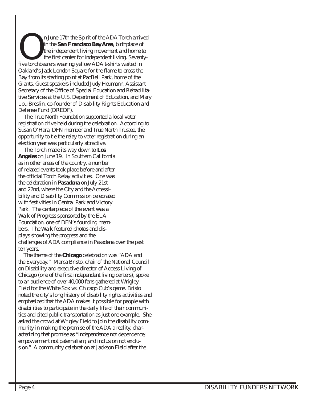n June 17th the Spirit of the ADA Torch arrived<br>in the *San Francisco Bay Area*, birthplace of<br>the independent living movement and home to<br>the first center for independent living. Seventyin the *San Francisco Bay Area*, birthplace of the independent living movement and home to the first center for independent living. Seventyfive torchbearers wearing yellow ADA t-shirts waited in Oakland's Jack London Square for the flame to cross the Bay from its starting point at PacBell Park, home of the Giants. Guest speakers included Judy Heumann, Assistant Secretary of the Office of Special Education and Rehabilitative Services at the U.S. Department of Education, and Mary Lou Breslin, co-founder of Disability Rights Education and Defense Fund (DREDF).

 The True North Foundation supported a local voter registration drive held during the celebration. According to Susan O'Hara, DFN member and True North Trustee, the opportunity to tie the relay to voter registration during an election year was particularly attractive.

 The Torch made its way down to *Los Angeles* on June 19. In Southern California as in other areas of the country, a number of related events took place before and after the official Torch Relay activities. One was the celebration in *Pasadena* on July 21st and 22nd, where the City and the Accessibility and Disability Commission celebrated with festivities in Central Park and Victory Park. The centerpiece of the event was a Walk of Progress sponsored by the ELA Foundation, one of DFN's founding members. The Walk featured photos and displays showing the progress and the challenges of ADA compliance in Pasadena over the past ten years.

 The theme of the *Chicago* celebration was "ADA and the Everyday." Marca Bristo, chair of the National Council on Disability and executive director of Access Living of Chicago (one of the first independent living centers), spoke to an audience of over 40,000 fans gathered at Wrigley Field for the White Sox vs. Chicago Cub's game. Bristo noted the city's long history of disability rights activities and emphasized that the ADA makes it possible for people with disabilities to participate in the daily life of their communities and cited public transportation as just one example. She asked the crowd at Wrigley Field to join the disability community in making the promise of the ADA a reality, characterizing that promise as "independence not dependence; empowerment not paternalism; and inclusion not exclusion." A community celebration at Jackson Field after the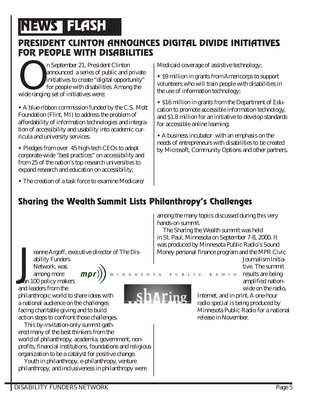# **NEWS FLASH**

# PRESIDENT CLINTON ANNOUNCES DIGITAL DIVIDE INITIATIVES

FOR PEOPLE WITH DISABILITIES<br>
n September 21, President Clinton<br>
announced a series of public and private<br>
initiatives to create "digital opportunity"<br>
for people with disabilities. Among the announced a series of public and private initiatives to create "digital opportunity" for people with disabilities. Among the wide ranging set of initiatives were:

w A blue-ribbon commission funded by the C.S. Mott Foundation (Flint, MI) to address the problem of affordability of information technologies and integration of accessibility and usability into academic curricula and university services.

• Pledges from over 45 high-tech CEOs to adopt corporate-wide "best practices" on accessibility and from 25 of the nation's top research universities to expand research and education on accessibility;

Medicaid coverage of assistive technology;

• \$9 million in grants from Americorps to support volunteers who will train people with disabilities in the use of information technology;

• \$16 million in grants from the Department of Education to promote accessible information technology, and \$1.8 million for an initiative to develop standards for accessible online learning;

 $\triangle$  A business incubator with an emphasis on the needs of entrepreneurs with disabilities to be created by Microsoft, Community Options and other partners.

#### $\bullet$  The creation of a task force to examine Medicare/

## Sharing the Wealth Summit Lists Philanthropy's Challenges

eanne Argoff, executive director of The Disability Funders

J Network, was among more than 100 policy makers

 $\binom{mpr}{l}$   $\binom{M \cup N \cup N \cup E \cup S \cup T \cup A}{l}$ 

and leaders from the philanthropic world to share ideas with a national audience on the challenges facing charitable giving and to build action steps to confront those challenges.

 This by-invitation-only summit gathered many of the best thinkers from the world of philanthropy, academia, government, nonprofits, financial institutions, foundations and religious organization to be a catalyst for positive change.

 Youth in philanthropy, e-philanthropy, venture philanthropy, and inclusiveness in philanthropy were

among the many topics discussed during this very hands-on summit.

 The Sharing the Wealth summit was held in St. Paul, Minnesota on September 7-8, 2000. It was produced by Minnesota Public Radio's Sound Money personal finance program and the MPR Civic

Journalism Initiative. The summit PUBLIC RADIO results are being

amplified nationwide on the radio,

Internet, and in print. A one-hour radio special is being produced by Minnesota Public Radio for a national release in November.

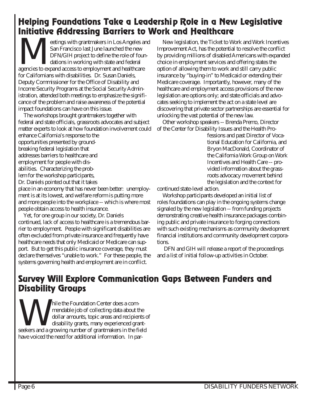# Helping Foundations Take a Leadership Role in a New Legislative

Initiative Addressing Barriers to Work and Healthcare<br>
San Francisco last June launched the new<br>
DFN/GIH project to define the role of foun-<br>
Mations in working with state and federal<br>
Mations in working with state and fed San Francisco last June launched the new DFN/GIH project to define the role of foundations in working with state and federal agencies to expand access to employment and healthcare for Californians with disabilities. Dr. Susan Daniels, Deputy Commissioner for the Office of Disability and Income Security Programs at the Social Security Administration, attended both meetings to emphasize the significance of the problem and raise awareness of the potential impact foundations can have on this issue.

 The workshops brought grantmakers together with federal and state officials, grassroots advocates and subject matter experts to look at how foundation involvement could enhance California's response to the

opportunities presented by groundbreaking federal legislation that addresses barriers to healthcare and employment for people with disabilities. Characterizing the problem for the workshop participants, Dr. Daniels pointed out that it takes

place in an economy that has never been better: unemployment is at its lowest, and welfare reform is putting more and more people into the workplace -- which is where most people obtain access to health insurance.

 Yet, for one group in our society, Dr. Daniels continued, lack of access to healthcare is a tremendous barrier to employment. People with significant disabilities are often excluded from private insurance and frequently have healthcare needs that only Medicaid or Medicare can support. But to get this public insurance coverage, they must declare themselves "unable to work." For these people, the systems governing health and employment are in conflict.

 New legislation, the Ticket to Work and Work Incentives Improvement Act, has the potential to resolve the conflict by providing millions of disabled Americans with expanded choice in employment services and offering states the option of allowing them to work and still carry public insurance by "buying-in" to Medicaid or extending their Medicare coverage. Importantly, however, many of the healthcare and employment access provisions of the new legislation are options only; and state officials and advocates seeking to implement the act on a state level are discovering that private sector partnerships are essential for unlocking the vast potential of the new law.

 Other workshop speakers -- Brenda Premo, Director of the Center for Disability Issues and the Health Pro-

fessions and past Director of Vocational Education for California, and Bryon MacDonald, Coordinator of the California Work Group on Work Incentives and Health Care -- provided information about the grassroots advocacy movement behind the legislation and the context for

continued state-level action.

 Workshop participants developed an initial list of roles foundations can play in the ongoing systems change signaled by the new legislation -- from funding projects demonstrating creative health insurance packages combining public and private insurance to forging connections with such existing mechanisms as community development financial institutions and community development corporations.

 DFN and GIH will release a report of the proceedings and a list of initial follow-up activities in October.

#### Survey Will Explore Communication Gaps Between Funders and Disability Groups

The State of State of State of State of State of State of State of State of State of State of State of State of State of State of State of State of State of State of State of State of State of State of State of State of St mendable job of collecting data about the dollar amounts, topic areas and recipients of disability grants, many experienced grantseekers and a growing number of grantmakers in the field have voiced the need for additional information. In par-

lekfbꀀ- oPin Sوrf%ity lliГ㘓䱕disabilgtioqabout 猐ЀûѐԠ׀ЀûӰMрԐѰM and ]MѷㄐѰMҀՐMҐÒѐԐհՠ࿀րӴ撀ՐûҀĐҀӰѰM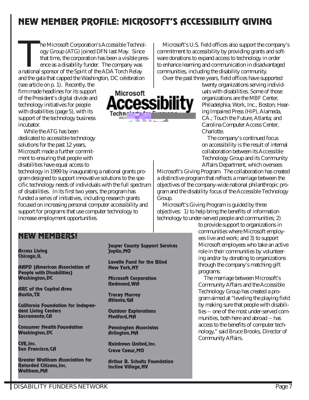## NEW MEMBER PROFILE: MICROSOFT'S ACCESSIBILITY GIVING

The Microsoft Corporation's Accessible Technol-<br>ogy Group (ATG) joined DFN last May. Since<br>that time, the corporation has been a visible pres<br>ence as a disability funder. The company was ogy Group (ATG) joined DFN last May. Since that time, the corporation has been a visible presence as a disability funder. The company was a national sponsor of the Spirit of the ADA Torch Relay and the gala that capped the Washington, DC celebration

(see article on p. 1). Recently, the firm made headlines for its support of the President's digital divide and technology initiatives for people with disabilities (page 5), with its support of the technology business incubator.

 While the ATG has been dedicated to accessible technology solutions for the past 12 years, Microsoft made a further commitment to ensuring that people with disabilities have equal access to

technology in 1999 by inaugurating a national grants program designed to support innovative solutions to the specific technology needs of individuals with the full spectrum of disabilities. In its first two years, the program has funded a series of initiatives, including research grants focused on increasing personal computer accessibility and support for programs that use computer technology to increase employment opportunities.

# Microsoft cessibility

commitment to accessibility by providing grants and software donations to expand access to technology in order to enhance learning and communication in disadvantaged communities, including the disability community. Over the past three years, field offices have supported twenty organizations serving individ-

Microsoft's U.S. field offices also support the company's

uals with disabilities. Some of those organizations are the MBF Center, Philadelphia; Work, Inc., Boston; Hearing Impaired Press (HiP), Alameda, CA.; Touch the Future, Atlanta; and Carolina Computer Access Center, Charlotte.

 The company's continued focus on accessibility is the result of internal collaboration between its Accessible Technology Group and its Community Affairs Department, which oversees

Microsoft's Giving Program. The collaboration has created a distinctive program that reflects a marriage between the objectives of the company-wide national philanthropic program and the disability focus of the Accessible Technology Group.

 Microsoft's Giving Program is guided by three objectives: 1) to help bring the benefits of information technology to under-served people and communities; 2)

#### to provide support to organizations in communities where Microsoft employees live and work; and 3) to support Microsoft employees who take an active role in their communities by volunteering and/or by donating to organizations through the company's matching gift programs.

 The marriage between Microsoft's Community Affairs and the Accessible Technology Group has created a program aimed at "leveling the playing field by making sure that people with disabilities -- one of the most under-served communities, both here and abroad -- has access to the benefits of computer technology," said Bruce Brooks, Director of Community Affairs.

#### NEW MEMBERS!

Access Living Chicago, IL

AAPD (American Association of People with Disabilities) Washington, DC

ARC of the Capital Area Austin, TX

California Foundation for Independent Living Centers Sacramento, CA

Consumer Health Foundation Washington, DC

CVE, Inc. San Francisco, CA

Greater Waltham Association for Retarded Citizens, Inc. Waltham, MA

#### Jasper County Support Services Joplin, MO

Lavelle Fund for the Blind New York, NY

Microsoft Corporation Redmond, WA

Tracey Murray Atlanta, GA

Outdoor Explorations Medford, MA

Pennington Associates Arlington, MA

Rainbows United, Inc. Creve Coeur, MO

Arthur B. Schultz Foundation Incline Village, NV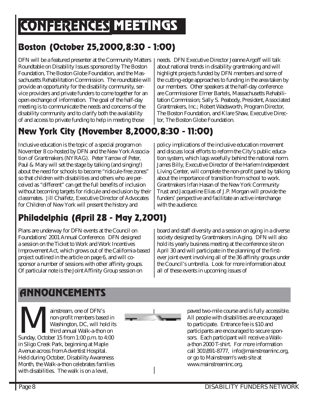# CONFERENCES MEETINGS

## Boston (October 25, 2000, 8:30 - 1:00)

DFN will be a featured presenter at the Community Matters Roundtable on Disability Issues sponsored by The Boston Foundation, The Boston Globe Foundation, and the Massachusetts Rehabilitation Commission. The roundtable will provide an opportunity for the disability community, service providers and private funders to come together for an open exchange of information. The goal of the half-day meeting is to communicate the needs and concerns of the disability community and to clarify both the availability of and access to private funding to help in meeting those

needs. DFN Executive Director Jeanne Argoff will talk about national trends in disability grantmaking and will highlight projects funded by DFN members and some of the cutting-edge approaches to funding in the area taken by our members. Other speakers at the half-day conference are Commissioner Elmer Bartels, Massachusetts Rehabilitation Commission; Sally S. Peabody, President, Associated Grantmakers, Inc.; Robert Wadsworth, Program Director, The Boston Foundation, and Klare Shaw, Executive Director, The Boston Globe Foundation.

# New York City (November 8, 2000, 8:30 - 11:00)

Inclusive education is the topic of a special program on November 8 co-hosted by DFN and the New York Association of Grantmakers (NYRAG). Peter Yarrow of Peter, Paul & Mary will set the stage by talking (and singing!) about the need for schools to become "ridicule-free zones" so that children with disabilities and others who are perceived as "different" can get the full benefits of inclusion without becoming targets for ridicule and exclusion by their classmates. Jill Chaifetz, Executive Director of Advocates for Children of New York will present the history and

# Philadelphia (April 28 - May 2, 2001)

Plans are underway for DFN events at the Council on Foundations' 2001 Annual Conference. DFN designed a session on the Ticket to Work and Work Incentives Improvement Act, which grows out of the California-based project outlined in the article on page 6, and will cosponsor a number of sessions with other affinity groups. Of particular note is the Joint Affinity Group session on

policy implications of the inclusive education movement and discuss local efforts to reform the City's public education system, which lags woefully behind the national norm. James Billy, Executive Director of the Harlem Independent Living Center, will complete the non-profit panel by talking about the importance of transition from school to work. Grantmakers Irfan Hasan of the New York Community Trust and Jacqueline Elias of J.P. Morgan will provide the funders' perspective and facilitate an active interchange with the audience.

board and staff diversity and a session on aging in a diverse society designed by Grantmakers in Aging. DFN will also hold its yearly business meeting at the conference site on April 30 and will participate in the planning of the firstever joint event involving all of the 36 affinity groups under the Council's umbrella. Look for more information about all of these events in upcoming issues of

# **ANNOUNCEMENTS**

ainstream, one of DFN's<br>non-profit members base<br>Washington, DC, will hol<br>third annual Walk-a-thon non-profit members based in Washington, DC, will hold its third annual Walk-a-thon on Sunday, October 15 from 1:00 p.m. to 4:00 in Sligo Creek Park, beginning at Maple Avenue across from Adventist Hospital. Held during October, Disability Awareness Month, the Walk-a-thon celebrates families with disabilities. The walk is on a level,



paved two-mile course and is fully accessible. All people with disabilities are encouraged to participate. Entrance fee is \$10 and participants are encouraged to secure sponsors. Each participant will receive a Walka-thon 2000 T-shirt. For more information call 301\891-8777, info@mainstreaminc.org, or go to Mainstream's web site at www.mainstreaminc.org.